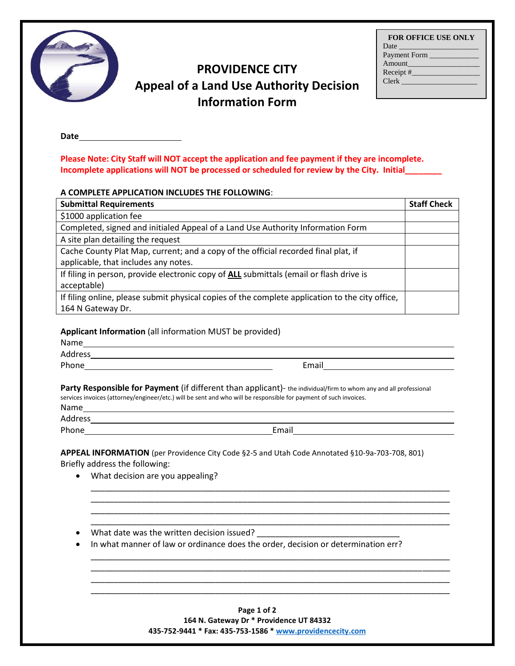| <b>FOR OFFICE USE ONLY</b>                                                                                                                                                                                                    |
|-------------------------------------------------------------------------------------------------------------------------------------------------------------------------------------------------------------------------------|
| Date has been a series of the series of the series of the series of the series of the series of the series of the series of the series of the series of the series of the series of the series of the series of the series of |
| Payment Form                                                                                                                                                                                                                  |
| Amount                                                                                                                                                                                                                        |
|                                                                                                                                                                                                                               |
| <b>Clerk</b>                                                                                                                                                                                                                  |
|                                                                                                                                                                                                                               |

# **PROVIDENCE CITY Appeal of a Land Use Authority Decision Information Form**

**Date**

**Please Note: City Staff will NOT accept the application and fee payment if they are incomplete. Incomplete applications will NOT be processed or scheduled for review by the City. Initial\_\_\_\_\_\_\_\_** 

## **A COMPLETE APPLICATION INCLUDES THE FOLLOWING**:

| <b>Submittal Requirements</b>                                                                   | <b>Staff Check</b> |
|-------------------------------------------------------------------------------------------------|--------------------|
| \$1000 application fee                                                                          |                    |
| Completed, signed and initialed Appeal of a Land Use Authority Information Form                 |                    |
| A site plan detailing the request                                                               |                    |
| Cache County Plat Map, current; and a copy of the official recorded final plat, if              |                    |
| applicable, that includes any notes.                                                            |                    |
| If filing in person, provide electronic copy of ALL submittals (email or flash drive is         |                    |
| acceptable)                                                                                     |                    |
| If filing online, please submit physical copies of the complete application to the city office, |                    |
| 164 N Gateway Dr.                                                                               |                    |

### **Applicant Information** (all information MUST be provided)

| r<br>а<br>r<br>e e |
|--------------------|
|--------------------|

Address Phone **Email** 

**Party Responsible for Payment** (if different than applicant)- the individual/firm to whom any and all professional services invoices (attorney/engineer/etc.) will be sent and who will be responsible for payment of such invoices.

| ้ลm<br>N |
|----------|
|----------|

Address and the contract of the contract of the contract of the contract of the contract of the contract of the contract of the contract of the contract of the contract of the contract of the contract of the contract of th

Phone Email Email Email Email Email Email Email Email Email Email Albert Contract and Contract Contract Contract Contract Contract Contract Contract Contract Contract Contract Contract Contract Contract Contract Contract C

\_\_\_\_\_\_\_\_\_\_\_\_\_\_\_\_\_\_\_\_\_\_\_\_\_\_\_\_\_\_\_\_\_\_\_\_\_\_\_\_\_\_\_\_\_\_\_\_\_\_\_\_\_\_\_\_\_\_\_\_\_\_\_\_\_\_\_\_\_\_\_\_\_\_\_\_\_\_ \_\_\_\_\_\_\_\_\_\_\_\_\_\_\_\_\_\_\_\_\_\_\_\_\_\_\_\_\_\_\_\_\_\_\_\_\_\_\_\_\_\_\_\_\_\_\_\_\_\_\_\_\_\_\_\_\_\_\_\_\_\_\_\_\_\_\_\_\_\_\_\_\_\_\_\_\_\_ \_\_\_\_\_\_\_\_\_\_\_\_\_\_\_\_\_\_\_\_\_\_\_\_\_\_\_\_\_\_\_\_\_\_\_\_\_\_\_\_\_\_\_\_\_\_\_\_\_\_\_\_\_\_\_\_\_\_\_\_\_\_\_\_\_\_\_\_\_\_\_\_\_\_\_\_\_\_ \_\_\_\_\_\_\_\_\_\_\_\_\_\_\_\_\_\_\_\_\_\_\_\_\_\_\_\_\_\_\_\_\_\_\_\_\_\_\_\_\_\_\_\_\_\_\_\_\_\_\_\_\_\_\_\_\_\_\_\_\_\_\_\_\_\_\_\_\_\_\_\_\_\_\_\_\_\_

\_\_\_\_\_\_\_\_\_\_\_\_\_\_\_\_\_\_\_\_\_\_\_\_\_\_\_\_\_\_\_\_\_\_\_\_\_\_\_\_\_\_\_\_\_\_\_\_\_\_\_\_\_\_\_\_\_\_\_\_\_\_\_\_\_\_\_\_\_\_\_\_\_\_\_\_\_\_ \_\_\_\_\_\_\_\_\_\_\_\_\_\_\_\_\_\_\_\_\_\_\_\_\_\_\_\_\_\_\_\_\_\_\_\_\_\_\_\_\_\_\_\_\_\_\_\_\_\_\_\_\_\_\_\_\_\_\_\_\_\_\_\_\_\_\_\_\_\_\_\_\_\_\_\_\_\_ \_\_\_\_\_\_\_\_\_\_\_\_\_\_\_\_\_\_\_\_\_\_\_\_\_\_\_\_\_\_\_\_\_\_\_\_\_\_\_\_\_\_\_\_\_\_\_\_\_\_\_\_\_\_\_\_\_\_\_\_\_\_\_\_\_\_\_\_\_\_\_\_\_\_\_\_\_\_ \_\_\_\_\_\_\_\_\_\_\_\_\_\_\_\_\_\_\_\_\_\_\_\_\_\_\_\_\_\_\_\_\_\_\_\_\_\_\_\_\_\_\_\_\_\_\_\_\_\_\_\_\_\_\_\_\_\_\_\_\_\_\_\_\_\_\_\_\_\_\_\_\_\_\_\_\_\_

**APPEAL INFORMATION** (per Providence City Code §2-5 and Utah Code Annotated §10-9a-703-708, 801) Briefly address the following:

- What decision are you appealing?
- What date was the written decision issued?
- In what manner of law or ordinance does the order, decision or determination err?

**Page 1 of 2 164 N. Gateway Dr \* Providence UT 84332 435-752-9441 \* Fax: 435-753-1586 [\\* www.providencecity.com](http://www.providencecity.com/)**